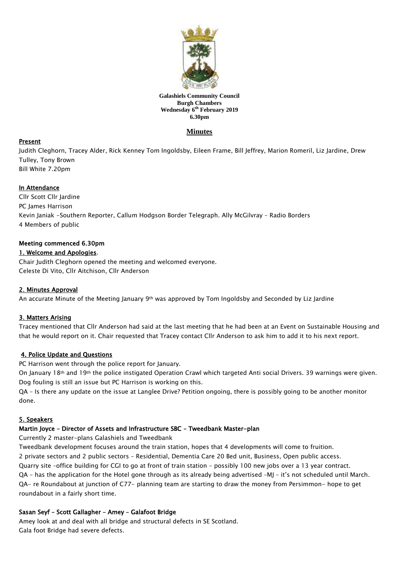

#### **Galashiels Community Council Burgh Chambers Wednesday 6 th February 2019 6.30pm**

# **Minutes**

## Present

Judith Cleghorn, Tracey Alder, Rick Kenney Tom Ingoldsby, Eileen Frame, Bill Jeffrey, Marion Romeril, Liz Jardine, Drew Tulley, Tony Brown Bill White 7.20pm

### In Attendance

Cllr Scott Cllr Jardine PC James Harrison Kevin Janiak -Southern Reporter, Callum Hodgson Border Telegraph. Ally McGilvray – Radio Borders 4 Members of public

### Meeting commenced 6.30pm

### 1. Welcome and Apologies.

Chair Judith Cleghorn opened the meeting and welcomed everyone. Celeste Di Vito, Cllr Aitchison, Cllr Anderson

## 2. Minutes Approval

An accurate Minute of the Meeting January 9th was approved by Tom Ingoldsby and Seconded by Liz Jardine

## 3. Matters Arising

Tracey mentioned that Cllr Anderson had said at the last meeting that he had been at an Event on Sustainable Housing and that he would report on it. Chair requested that Tracey contact Cllr Anderson to ask him to add it to his next report.

## 4. Police Update and Questions

PC Harrison went through the police report for January.

On January 18th and 19th the police instigated Operation Crawl which targeted Anti social Drivers. 39 warnings were given. Dog fouling is still an issue but PC Harrison is working on this.

QA – Is there any update on the issue at Langlee Drive? Petition ongoing, there is possibly going to be another monitor done.

## 5. Speakers

## Martin Joyce – Director of Assets and Infrastructure SBC – Tweedbank Master-plan

Currently 2 master-plans Galashiels and Tweedbank

Tweedbank development focuses around the train station, hopes that 4 developments will come to fruition. 2 private sectors and 2 public sectors – Residential, Dementia Care 20 Bed unit, Business, Open public access. Quarry site –office building for CGI to go at front of train station – possibly 100 new jobs over a 13 year contract. QA – has the application for the Hotel gone through as its already being advertised –MJ – it's not scheduled until March. QA- re Roundabout at junction of C77- planning team are starting to draw the money from Persimmon- hope to get roundabout in a fairly short time.

## Sasan Seyf – Scott Gallagher – Amey – Galafoot Bridge

Amey look at and deal with all bridge and structural defects in SE Scotland. Gala foot Bridge had severe defects.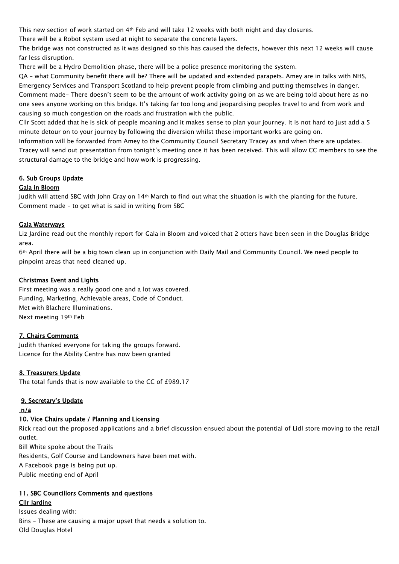This new section of work started on 4th Feb and will take 12 weeks with both night and day closures.

There will be a Robot system used at night to separate the concrete layers.

The bridge was not constructed as it was designed so this has caused the defects, however this next 12 weeks will cause far less disruption.

There will be a Hydro Demolition phase, there will be a police presence monitoring the system.

QA – what Community benefit there will be? There will be updated and extended parapets. Amey are in talks with NHS, Emergency Services and Transport Scotland to help prevent people from climbing and putting themselves in danger. Comment made- There doesn't seem to be the amount of work activity going on as we are being told about here as no one sees anyone working on this bridge. It's taking far too long and jeopardising peoples travel to and from work and causing so much congestion on the roads and frustration with the public.

Cllr Scott added that he is sick of people moaning and it makes sense to plan your journey. It is not hard to just add a 5 minute detour on to your journey by following the diversion whilst these important works are going on.

Information will be forwarded from Amey to the Community Council Secretary Tracey as and when there are updates. Tracey will send out presentation from tonight's meeting once it has been received. This will allow CC members to see the structural damage to the bridge and how work is progressing.

# 6. Sub Groups Update

## Gala in Bloom

Judith will attend SBC with John Gray on 14th March to find out what the situation is with the planting for the future. Comment made – to get what is said in writing from SBC

### Gala Waterways

Liz Jardine read out the monthly report for Gala in Bloom and voiced that 2 otters have been seen in the Douglas Bridge area.

6th April there will be a big town clean up in conjunction with Daily Mail and Community Council. We need people to pinpoint areas that need cleaned up.

### Christmas Event and Lights

First meeting was a really good one and a lot was covered. Funding, Marketing, Achievable areas, Code of Conduct. Met with Blachere Illuminations. Next meeting 19th Feb

## 7. Chairs Comments

Judith thanked everyone for taking the groups forward. Licence for the Ability Centre has now been granted

## 8. Treasurers Update

The total funds that is now available to the CC of £989.17

## 9. Secretary's Update

#### n/a

## 10. Vice Chairs update / Planning and Licensing

Rick read out the proposed applications and a brief discussion ensued about the potential of Lidl store moving to the retail outlet.

Bill White spoke about the Trails

Residents, Golf Course and Landowners have been met with.

A Facebook page is being put up.

Public meeting end of April

## 11. SBC Councillors Comments and questions

# Cllr Jardine

Issues dealing with: Bins – These are causing a major upset that needs a solution to. Old Douglas Hotel